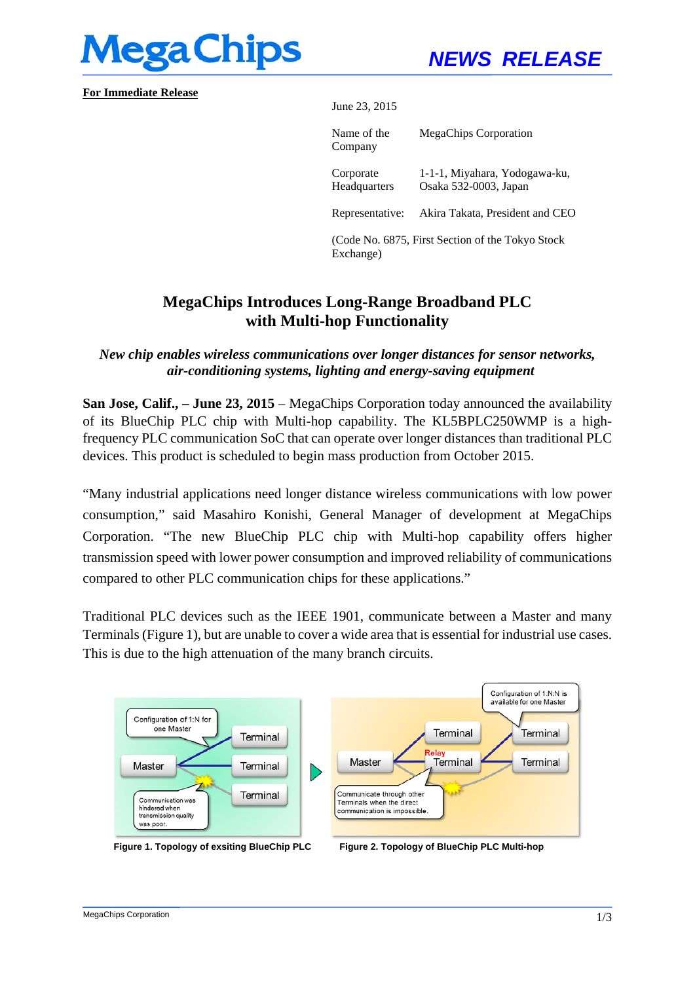

**For Immediate Release** 

June 23, 2015

Name of the Company MegaChips Corporation Corporate Headquarters 1-1-1, Miyahara, Yodogawa-ku, Osaka 532-0003, Japan Representative: Akira Takata, President and CEO (Code No. 6875, First Section of the Tokyo Stock Exchange)

# **MegaChips Introduces Long-Range Broadband PLC with Multi-hop Functionality**

#### *New chip enables wireless communications over longer distances for sensor networks, air-conditioning systems, lighting and energy-saving equipment*

**San Jose, Calif., – June 23, 2015** – MegaChips Corporation today announced the availability of its BlueChip PLC chip with Multi-hop capability. The KL5BPLC250WMP is a highfrequency PLC communication SoC that can operate over longer distances than traditional PLC devices. This product is scheduled to begin mass production from October 2015.

"Many industrial applications need longer distance wireless communications with low power consumption," said Masahiro Konishi, General Manager of development at MegaChips Corporation. "The new BlueChip PLC chip with Multi-hop capability offers higher transmission speed with lower power consumption and improved reliability of communications compared to other PLC communication chips for these applications."

Traditional PLC devices such as the IEEE 1901, communicate between a Master and many Terminals (Figure 1), but are unable to cover a wide area that is essential for industrial use cases. This is due to the high attenuation of the many branch circuits.



**Figure 1. Topology of exsiting BlueChip PLC Figure 2. Topology of BlueChip PLC Multi-hop**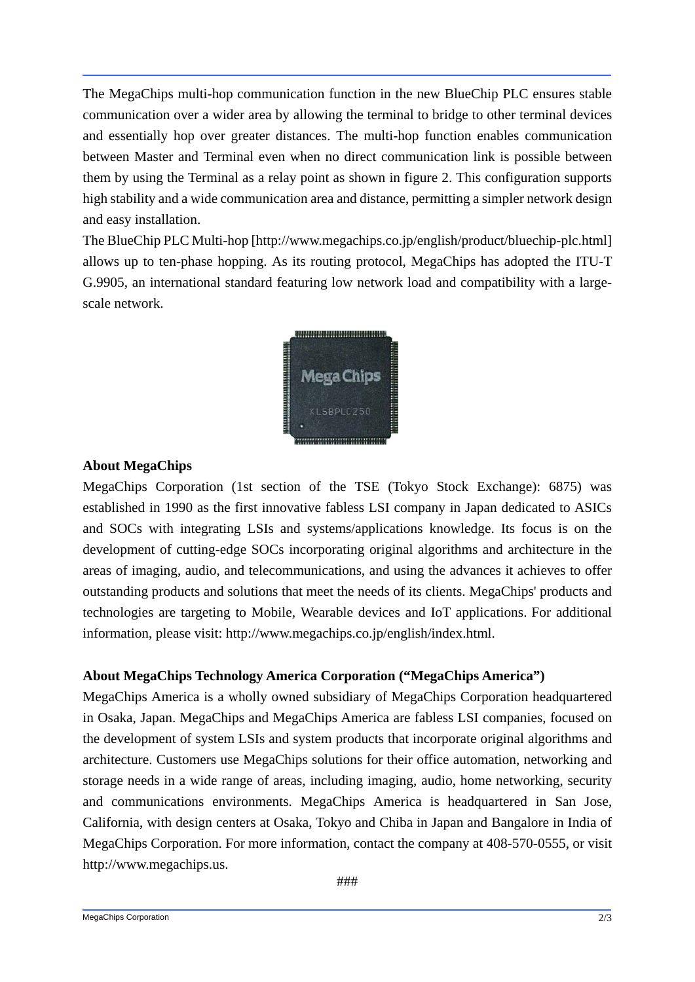The MegaChips multi-hop communication function in the new BlueChip PLC ensures stable communication over a wider area by allowing the terminal to bridge to other terminal devices and essentially hop over greater distances. The multi-hop function enables communication between Master and Terminal even when no direct communication link is possible between them by using the Terminal as a relay point as shown in figure 2. This configuration supports high stability and a wide communication area and distance, permitting a simpler network design and easy installation.

The BlueChip PLC Multi-hop [http://www.megachips.co.jp/english/product/bluechip-plc.html] allows up to ten-phase hopping. As its routing protocol, MegaChips has adopted the ITU-T G.9905, an international standard featuring low network load and compatibility with a largescale network.



### **About MegaChips**

MegaChips Corporation (1st section of the TSE (Tokyo Stock Exchange): 6875) was established in 1990 as the first innovative fabless LSI company in Japan dedicated to ASICs and SOCs with integrating LSIs and systems/applications knowledge. Its focus is on the development of cutting-edge SOCs incorporating original algorithms and architecture in the areas of imaging, audio, and telecommunications, and using the advances it achieves to offer outstanding products and solutions that meet the needs of its clients. MegaChips' products and technologies are targeting to Mobile, Wearable devices and IoT applications. For additional information, please visit: http://www.megachips.co.jp/english/index.html.

## **About MegaChips Technology America Corporation ("MegaChips America")**

MegaChips America is a wholly owned subsidiary of MegaChips Corporation headquartered in Osaka, Japan. MegaChips and MegaChips America are fabless LSI companies, focused on the development of system LSIs and system products that incorporate original algorithms and architecture. Customers use MegaChips solutions for their office automation, networking and storage needs in a wide range of areas, including imaging, audio, home networking, security and communications environments. MegaChips America is headquartered in San Jose, California, with design centers at Osaka, Tokyo and Chiba in Japan and Bangalore in India of MegaChips Corporation. For more information, contact the company at 408-570-0555, or visit http://www.megachips.us.